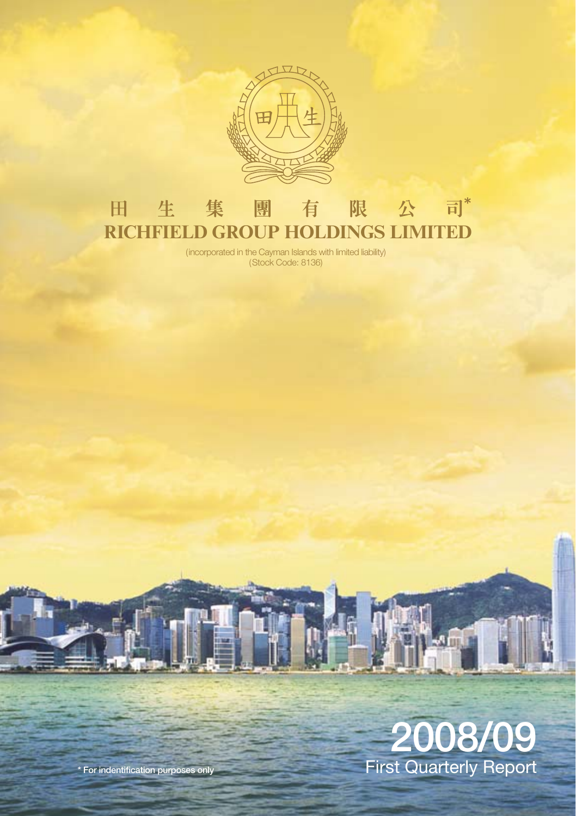

#### 限 公 司\* 田 生 集 團 有 **RICHFIELD GROUP HOLDINGS LIMITED**

(incorporated in the Cayman Islands with limited liability) (Stock Code: 8136)

# 2008/09 First Quarterly Report

\* For indentification purposes only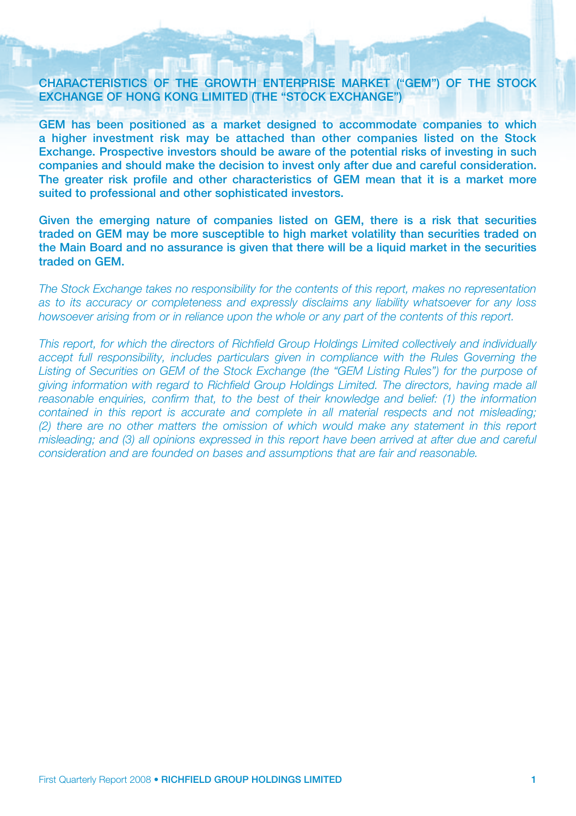#### CHARACTERISTICS OF THE GROWTH ENTERPRISE MARKET ("GEM") OF THE STOCK EXCHANGE OF HONG KONG LIMITED (THE "STOCK EXCHANGE")

GEM has been positioned as a market designed to accommodate companies to which a higher investment risk may be attached than other companies listed on the Stock Exchange. Prospective investors should be aware of the potential risks of investing in such companies and should make the decision to invest only after due and careful consideration. The greater risk profile and other characteristics of GEM mean that it is a market more suited to professional and other sophisticated investors.

Given the emerging nature of companies listed on GEM, there is a risk that securities traded on GEM may be more susceptible to high market volatility than securities traded on the Main Board and no assurance is given that there will be a liquid market in the securities traded on GEM.

*The Stock Exchange takes no responsibility for the contents of this report, makes no representation as to its accuracy or completeness and expressly disclaims any liability whatsoever for any loss howsoever arising from or in reliance upon the whole or any part of the contents of this report.*

*This report, for which the directors of Richfield Group Holdings Limited collectively and individually accept full responsibility, includes particulars given in compliance with the Rules Governing the* Listing of Securities on GEM of the Stock Exchange (the "GEM Listing Rules") for the purpose of *giving information with regard to Richfield Group Holdings Limited. The directors, having made all reasonable enquiries, confirm that, to the best of their knowledge and belief: (1) the information contained in this report is accurate and complete in all material respects and not misleading; (2) there are no other matters the omission of which would make any statement in this report misleading; and (3) all opinions expressed in this report have been arrived at after due and careful consideration and are founded on bases and assumptions that are fair and reasonable.*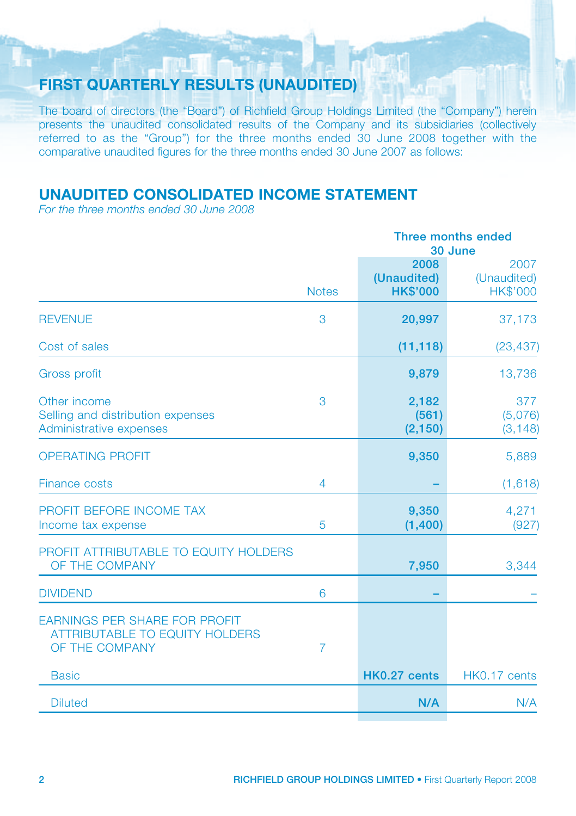# FIRST QUARTERLY RESULTS (UNAUDITED)

The board of directors (the "Board") of Richfield Group Holdings Limited (the "Company") herein presents the unaudited consolidated results of the Company and its subsidiaries (collectively referred to as the "Group") for the three months ended 30 June 2008 together with the comparative unaudited figures for the three months ended 30 June 2007 as follows:

## unaudited consolidated income statement

*For the three months ended 30 June 2008*

|                                                                                                 |                | <b>Three months ended</b><br>30 June   |                                        |
|-------------------------------------------------------------------------------------------------|----------------|----------------------------------------|----------------------------------------|
|                                                                                                 | <b>Notes</b>   | 2008<br>(Unaudited)<br><b>HK\$'000</b> | 2007<br>(Unaudited)<br><b>HK\$'000</b> |
| <b>REVENUE</b>                                                                                  | 3              | 20,997                                 | 37,173                                 |
| Cost of sales                                                                                   |                | (11, 118)                              | (23, 437)                              |
| <b>Gross profit</b>                                                                             |                | 9,879                                  | 13,736                                 |
| Other income<br>Selling and distribution expenses<br>Administrative expenses                    | 3              | 2,182<br>(561)<br>(2, 150)             | 377<br>(5,076)<br>(3, 148)             |
| <b>OPERATING PROFIT</b>                                                                         |                | 9,350                                  | 5,889                                  |
| <b>Finance costs</b>                                                                            | $\overline{4}$ |                                        | (1,618)                                |
| PROFIT BEFORE INCOME TAX<br>Income tax expense                                                  | 5              | 9,350<br>(1,400)                       | 4,271<br>(927)                         |
| PROFIT ATTRIBUTABLE TO EQUITY HOLDERS<br>OF THE COMPANY                                         |                | 7,950                                  | 3,344                                  |
| <b>DIVIDEND</b>                                                                                 | 6              |                                        |                                        |
| <b>EARNINGS PER SHARE FOR PROFIT</b><br><b>ATTRIBUTABLE TO EQUITY HOLDERS</b><br>OF THE COMPANY | $\overline{7}$ |                                        |                                        |
| <b>Basic</b>                                                                                    |                | HK0.27 cents                           | HK0.17 cents                           |
| <b>Diluted</b>                                                                                  |                | N/A                                    | N/A                                    |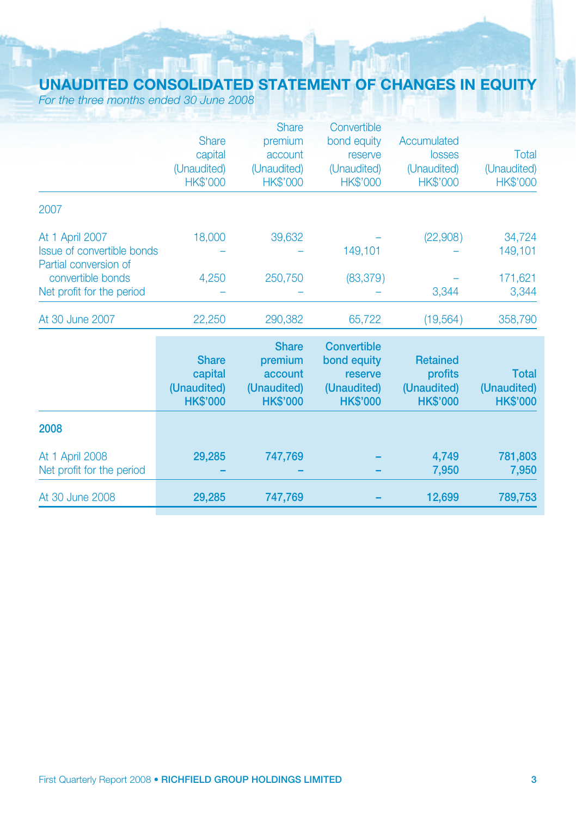# unaudited consolidated statement of changes in equity

*For the three months ended 30 June 2008*

|                                                     |                 | <b>Share</b>    | Convertible        |                 |                 |
|-----------------------------------------------------|-----------------|-----------------|--------------------|-----------------|-----------------|
|                                                     | <b>Share</b>    | premium         | bond equity        | Accumulated     |                 |
|                                                     | capital         | account         | reserve            | <b>losses</b>   | Total           |
|                                                     | (Unaudited)     | (Unaudited)     | (Unaudited)        | (Unaudited)     | (Unaudited)     |
|                                                     | <b>HK\$'000</b> | <b>HK\$'000</b> | HK\$'000           | <b>HK\$'000</b> | <b>HK\$'000</b> |
| 2007                                                |                 |                 |                    |                 |                 |
| At 1 April 2007                                     | 18,000          | 39,632          |                    | (22,908)        | 34,724          |
| Issue of convertible bonds<br>Partial conversion of |                 |                 | 149,101            |                 | 149,101         |
| convertible bonds                                   | 4,250           | 250,750         | (83, 379)          |                 | 171,621         |
| Net profit for the period                           |                 |                 |                    | 3,344           | 3,344           |
| At 30 June 2007                                     | 22,250          | 290,382         | 65,722             | (19, 564)       | 358,790         |
|                                                     |                 | <b>Share</b>    | <b>Convertible</b> |                 |                 |
|                                                     | <b>Share</b>    | premium         | bond equity        | <b>Retained</b> |                 |
|                                                     | capital         | account         | reserve            | profits         | <b>Total</b>    |
|                                                     | (Unaudited)     | (Unaudited)     | (Unaudited)        | (Unaudited)     | (Unaudited)     |
|                                                     | <b>HK\$'000</b> | <b>HK\$'000</b> | <b>HK\$'000</b>    | <b>HK\$'000</b> | <b>HK\$'000</b> |
| 2008                                                |                 |                 |                    |                 |                 |
| At 1 April 2008                                     | 29,285          | 747,769         |                    | 4,749           | 781,803         |
| Net profit for the period                           |                 |                 |                    | 7,950           | 7,950           |
| At 30 June 2008                                     | 29,285          | 747,769         |                    | 12,699          | 789,753         |
|                                                     |                 |                 |                    |                 |                 |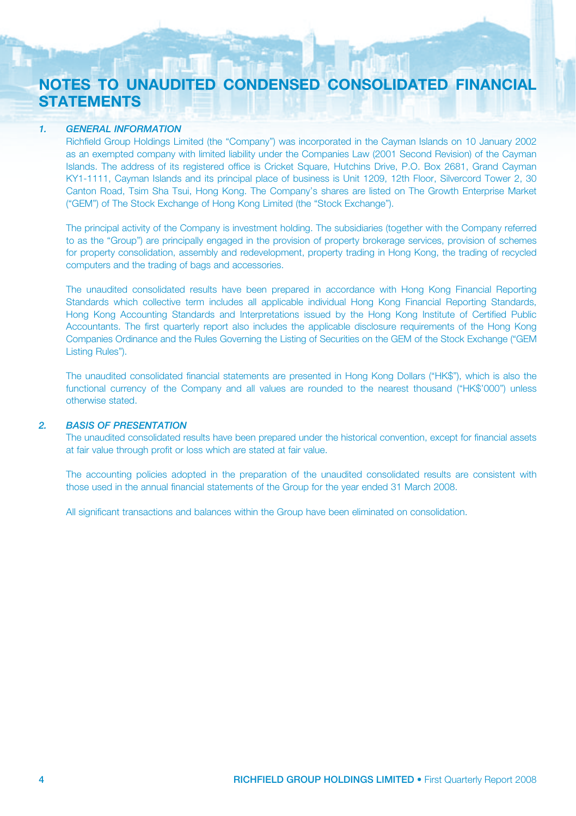## Notes to unaudited condensed Consolidated Financial **STATEMENTS**

#### *1. GENERAL INFORMATION*

Richfield Group Holdings Limited (the "Company") was incorporated in the Cayman Islands on 10 January 2002 as an exempted company with limited liability under the Companies Law (2001 Second Revision) of the Cayman Islands. The address of its registered office is Cricket Square, Hutchins Drive, P.O. Box 2681, Grand Cayman KY1-1111, Cayman Islands and its principal place of business is Unit 1209, 12th Floor, Silvercord Tower 2, 30 Canton Road, Tsim Sha Tsui, Hong Kong. The Company's shares are listed on The Growth Enterprise Market ("GEM") of The Stock Exchange of Hong Kong Limited (the "Stock Exchange").

The principal activity of the Company is investment holding. The subsidiaries (together with the Company referred to as the "Group") are principally engaged in the provision of property brokerage services, provision of schemes for property consolidation, assembly and redevelopment, property trading in Hong Kong, the trading of recycled computers and the trading of bags and accessories.

The unaudited consolidated results have been prepared in accordance with Hong Kong Financial Reporting Standards which collective term includes all applicable individual Hong Kong Financial Reporting Standards, Hong Kong Accounting Standards and Interpretations issued by the Hong Kong Institute of Certified Public Accountants. The first quarterly report also includes the applicable disclosure requirements of the Hong Kong Companies Ordinance and the Rules Governing the Listing of Securities on the GEM of the Stock Exchange ("GEM Listing Rules").

The unaudited consolidated financial statements are presented in Hong Kong Dollars ("HK\$"), which is also the functional currency of the Company and all values are rounded to the nearest thousand ("HK\$'000") unless otherwise stated.

#### *2. BASIS OF PRESENTATION*

The unaudited consolidated results have been prepared under the historical convention, except for financial assets at fair value through profit or loss which are stated at fair value.

The accounting policies adopted in the preparation of the unaudited consolidated results are consistent with those used in the annual financial statements of the Group for the year ended 31 March 2008.

All significant transactions and balances within the Group have been eliminated on consolidation.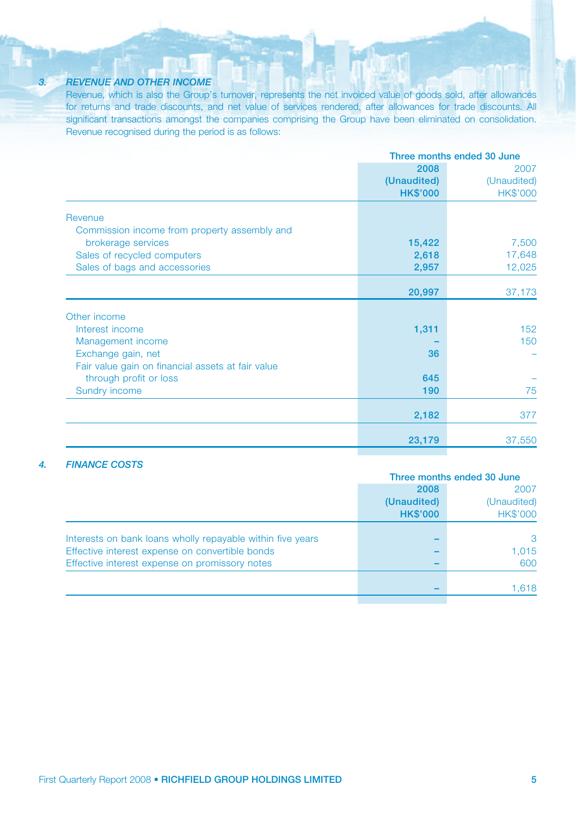#### *3. REVENUE AND OTHER INCOME*

Revenue, which is also the Group's turnover, represents the net invoiced value of goods sold, after allowances for returns and trade discounts, and net value of services rendered, after allowances for trade discounts. All significant transactions amongst the companies comprising the Group have been eliminated on consolidation. Revenue recognised during the period is as follows:

|                                                   |                 | Three months ended 30 June |  |  |
|---------------------------------------------------|-----------------|----------------------------|--|--|
|                                                   | 2008            | 2007                       |  |  |
|                                                   | (Unaudited)     | (Unaudited)                |  |  |
|                                                   | <b>HK\$'000</b> | <b>HK\$'000</b>            |  |  |
| Revenue                                           |                 |                            |  |  |
| Commission income from property assembly and      |                 |                            |  |  |
| brokerage services                                | 15,422          | 7,500                      |  |  |
| Sales of recycled computers                       | 2,618           | 17,648                     |  |  |
| Sales of bags and accessories                     | 2,957           | 12,025                     |  |  |
|                                                   | 20,997          | 37,173                     |  |  |
| Other income                                      |                 |                            |  |  |
| Interest income                                   | 1,311           | 152                        |  |  |
| Management income                                 |                 | 150                        |  |  |
| Exchange gain, net                                | 36              |                            |  |  |
| Fair value gain on financial assets at fair value |                 |                            |  |  |
| through profit or loss                            | 645             |                            |  |  |
| Sundry income                                     | 190             | 75                         |  |  |
|                                                   | 2,182           | 377                        |  |  |
|                                                   |                 |                            |  |  |
|                                                   | 23,179          | 37,550                     |  |  |

#### *4. Finance costs*

|                                                            | Three months ended 30 June |                 |
|------------------------------------------------------------|----------------------------|-----------------|
|                                                            | 2008                       | 2007            |
|                                                            | (Unaudited)                | (Unaudited)     |
|                                                            | <b>HK\$'000</b>            | <b>HK\$'000</b> |
| Interests on bank loans wholly repayable within five years |                            | 3               |
| Effective interest expense on convertible bonds            |                            | 1,015           |
| Effective interest expense on promissory notes             |                            | 600             |
|                                                            |                            | 1,618           |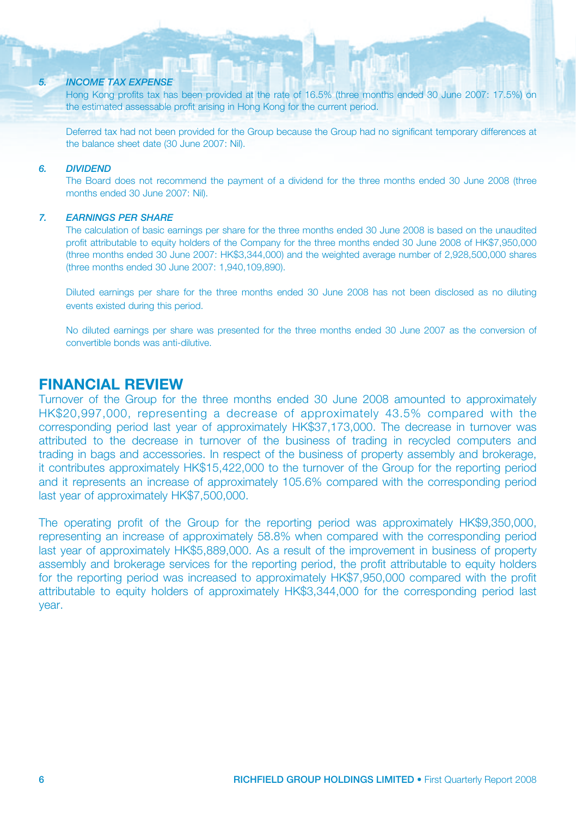#### *5. INCOME TAX EXPENSE*

Hong Kong profits tax has been provided at the rate of 16.5% (three months ended 30 June 2007: 17.5%) on the estimated assessable profit arising in Hong Kong for the current period.

Deferred tax had not been provided for the Group because the Group had no significant temporary differences at the balance sheet date (30 June 2007: Nil)

#### *6. DIVIDEND*

The Board does not recommend the payment of a dividend for the three months ended 30 June 2008 (three months ended 30 June 2007: Nil).

#### *7. Earnings PER SHARE*

The calculation of basic earnings per share for the three months ended 30 June 2008 is based on the unaudited profit attributable to equity holders of the Company for the three months ended 30 June 2008 of HK\$7,950,000 (three months ended 30 June 2007: HK\$3,344,000) and the weighted average number of 2,928,500,000 shares (three months ended 30 June 2007: 1,940,109,890).

Diluted earnings per share for the three months ended 30 June 2008 has not been disclosed as no diluting events existed during this period.

No diluted earnings per share was presented for the three months ended 30 June 2007 as the conversion of convertible bonds was anti-dilutive.

## Financial Review

Turnover of the Group for the three months ended 30 June 2008 amounted to approximately HK\$20,997,000, representing a decrease of approximately 43.5% compared with the corresponding period last year of approximately HK\$37,173,000. The decrease in turnover was attributed to the decrease in turnover of the business of trading in recycled computers and trading in bags and accessories. In respect of the business of property assembly and brokerage, it contributes approximately HK\$15,422,000 to the turnover of the Group for the reporting period and it represents an increase of approximately 105.6% compared with the corresponding period last year of approximately HK\$7,500,000.

The operating profit of the Group for the reporting period was approximately HK\$9,350,000, representing an increase of approximately 58.8% when compared with the corresponding period last year of approximately HK\$5,889,000. As a result of the improvement in business of property assembly and brokerage services for the reporting period, the profit attributable to equity holders for the reporting period was increased to approximately HK\$7,950,000 compared with the profit attributable to equity holders of approximately HK\$3,344,000 for the corresponding period last year.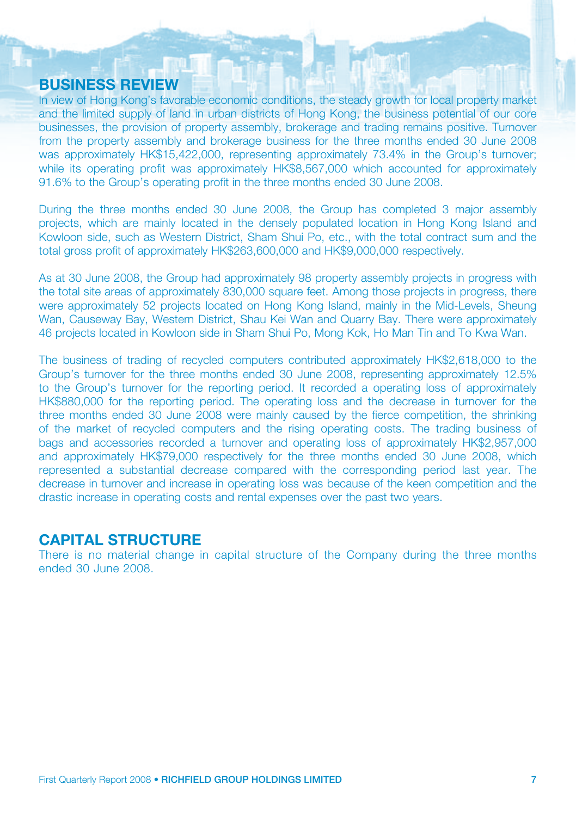## BUSINESS REVIEW

In view of Hong Kong's favorable economic conditions, the steady growth for local property market and the limited supply of land in urban districts of Hong Kong, the business potential of our core businesses, the provision of property assembly, brokerage and trading remains positive. Turnover from the property assembly and brokerage business for the three months ended 30 June 2008 was approximately HK\$15,422,000, representing approximately 73.4% in the Group's turnover; while its operating profit was approximately HK\$8,567,000 which accounted for approximately 91.6% to the Group's operating profit in the three months ended 30 June 2008.

During the three months ended 30 June 2008, the Group has completed 3 major assembly projects, which are mainly located in the densely populated location in Hong Kong Island and Kowloon side, such as Western District, Sham Shui Po, etc., with the total contract sum and the total gross profit of approximately HK\$263,600,000 and HK\$9,000,000 respectively.

As at 30 June 2008, the Group had approximately 98 property assembly projects in progress with the total site areas of approximately 830,000 square feet. Among those projects in progress, there were approximately 52 projects located on Hong Kong Island, mainly in the Mid-Levels, Sheung Wan, Causeway Bay, Western District, Shau Kei Wan and Quarry Bay. There were approximately 46 projects located in Kowloon side in Sham Shui Po, Mong Kok, Ho Man Tin and To Kwa Wan.

The business of trading of recycled computers contributed approximately HK\$2,618,000 to the Group's turnover for the three months ended 30 June 2008, representing approximately 12.5% to the Group's turnover for the reporting period. It recorded a operating loss of approximately HK\$880,000 for the reporting period. The operating loss and the decrease in turnover for the three months ended 30 June 2008 were mainly caused by the fierce competition, the shrinking of the market of recycled computers and the rising operating costs. The trading business of bags and accessories recorded a turnover and operating loss of approximately HK\$2,957,000 and approximately HK\$79,000 respectively for the three months ended 30 June 2008, which represented a substantial decrease compared with the corresponding period last year. The decrease in turnover and increase in operating loss was because of the keen competition and the drastic increase in operating costs and rental expenses over the past two years.

#### CAPITAL STRUCTURE

There is no material change in capital structure of the Company during the three months ended 30 June 2008.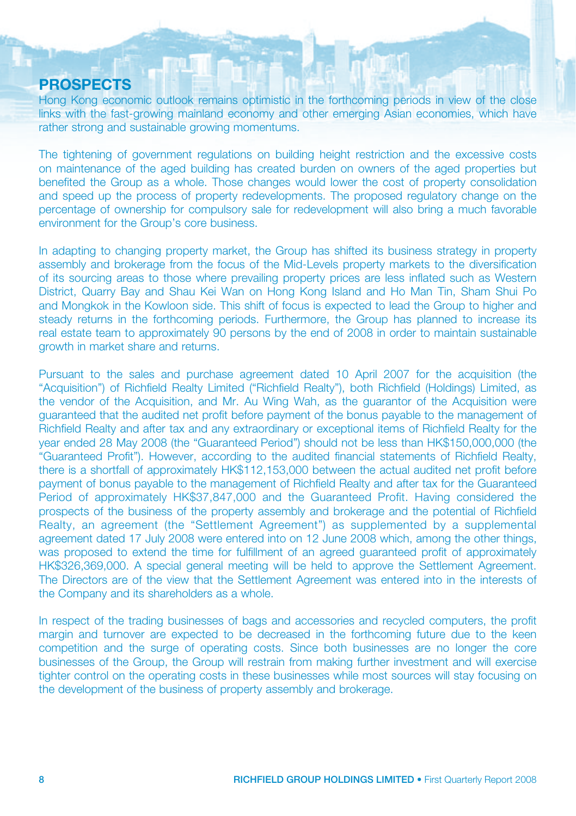#### PROSPECTS

Hong Kong economic outlook remains optimistic in the forthcoming periods in view of the close links with the fast-growing mainland economy and other emerging Asian economies, which have rather strong and sustainable growing momentums.

The tightening of government regulations on building height restriction and the excessive costs on maintenance of the aged building has created burden on owners of the aged properties but benefited the Group as a whole. Those changes would lower the cost of property consolidation and speed up the process of property redevelopments. The proposed regulatory change on the percentage of ownership for compulsory sale for redevelopment will also bring a much favorable environment for the Group's core business.

In adapting to changing property market, the Group has shifted its business strategy in property assembly and brokerage from the focus of the Mid-Levels property markets to the diversification of its sourcing areas to those where prevailing property prices are less inflated such as Western District, Quarry Bay and Shau Kei Wan on Hong Kong Island and Ho Man Tin, Sham Shui Po and Mongkok in the Kowloon side. This shift of focus is expected to lead the Group to higher and steady returns in the forthcoming periods. Furthermore, the Group has planned to increase its real estate team to approximately 90 persons by the end of 2008 in order to maintain sustainable growth in market share and returns.

Pursuant to the sales and purchase agreement dated 10 April 2007 for the acquisition (the "Acquisition") of Richfield Realty Limited ("Richfield Realty"), both Richfield (Holdings) Limited, as the vendor of the Acquisition, and Mr. Au Wing Wah, as the guarantor of the Acquisition were guaranteed that the audited net profit before payment of the bonus payable to the management of Richfield Realty and after tax and any extraordinary or exceptional items of Richfield Realty for the year ended 28 May 2008 (the "Guaranteed Period") should not be less than HK\$150,000,000 (the "Guaranteed Profit"). However, according to the audited financial statements of Richfield Realty, there is a shortfall of approximately HK\$112,153,000 between the actual audited net profit before payment of bonus payable to the management of Richfield Realty and after tax for the Guaranteed Period of approximately HK\$37,847,000 and the Guaranteed Profit. Having considered the prospects of the business of the property assembly and brokerage and the potential of Richfield Realty, an agreement (the "Settlement Agreement") as supplemented by a supplemental agreement dated 17 July 2008 were entered into on 12 June 2008 which, among the other things, was proposed to extend the time for fulfillment of an agreed guaranteed profit of approximately HK\$326,369,000. A special general meeting will be held to approve the Settlement Agreement. The Directors are of the view that the Settlement Agreement was entered into in the interests of the Company and its shareholders as a whole.

In respect of the trading businesses of bags and accessories and recycled computers, the profit margin and turnover are expected to be decreased in the forthcoming future due to the keen competition and the surge of operating costs. Since both businesses are no longer the core businesses of the Group, the Group will restrain from making further investment and will exercise tighter control on the operating costs in these businesses while most sources will stay focusing on the development of the business of property assembly and brokerage.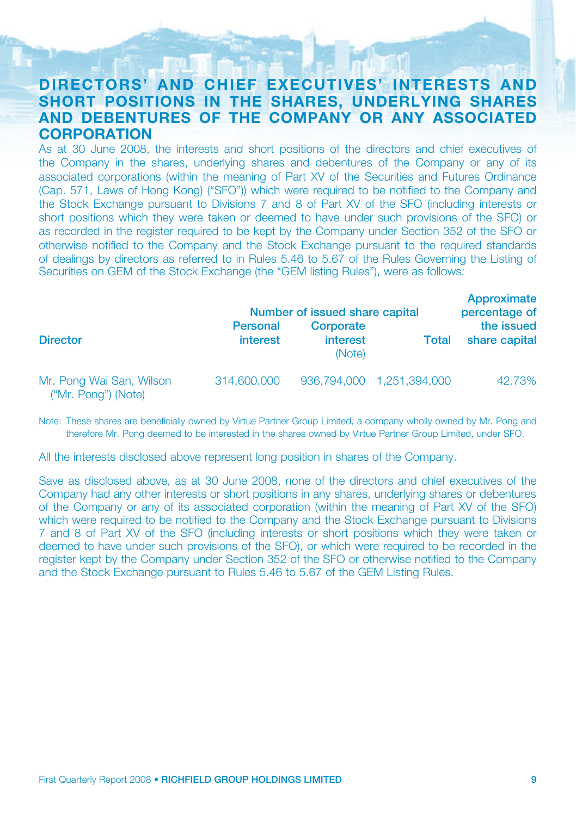## DIRECTORS' AND CHIEF EXECUTIVES' INTERESTS AND SHORT positions IN THE SHARES, UNDERLYING SHARES AND DEBENTURES OF THE COMPANY OR ANY ASSOCIATED **CORPORATION**

As at 30 June 2008, the interests and short positions of the directors and chief executives of the Company in the shares, underlying shares and debentures of the Company or any of its associated corporations (within the meaning of Part XV of the Securities and Futures Ordinance (Cap. 571, Laws of Hong Kong) ("SFO")) which were required to be notified to the Company and the Stock Exchange pursuant to Divisions 7 and 8 of Part XV of the SFO (including interests or short positions which they were taken or deemed to have under such provisions of the SFO) or as recorded in the register required to be kept by the Company under Section 352 of the SFO or otherwise notified to the Company and the Stock Exchange pursuant to the required standards of dealings by directors as referred to in Rules 5.46 to 5.67 of the Rules Governing the Listing of Securities on GEM of the Stock Exchange (the "GEM listing Rules"), were as follows:

|                                                 | Number of issued share capital | Approximate<br>percentage of    |                           |                             |
|-------------------------------------------------|--------------------------------|---------------------------------|---------------------------|-----------------------------|
| <b>Director</b>                                 | <b>Personal</b><br>interest    | Corporate<br>interest<br>(Note) | Total                     | the issued<br>share capital |
| Mr. Pong Wai San, Wilson<br>("Mr. Pong") (Note) | 314,600,000                    |                                 | 936,794,000 1,251,394,000 | 42.73%                      |

Note: These shares are beneficially owned by Virtue Partner Group Limited, a company wholly owned by Mr. Pong and therefore Mr. Pong deemed to be interested in the shares owned by Virtue Partner Group Limited, under SFO.

All the interests disclosed above represent long position in shares of the Company.

Save as disclosed above, as at 30 June 2008, none of the directors and chief executives of the Company had any other interests or short positions in any shares, underlying shares or debentures of the Company or any of its associated corporation (within the meaning of Part XV of the SFO) which were required to be notified to the Company and the Stock Exchange pursuant to Divisions 7 and 8 of Part XV of the SFO (including interests or short positions which they were taken or deemed to have under such provisions of the SFO), or which were required to be recorded in the register kept by the Company under Section 352 of the SFO or otherwise notified to the Company and the Stock Exchange pursuant to Rules 5.46 to 5.67 of the GEM Listing Rules.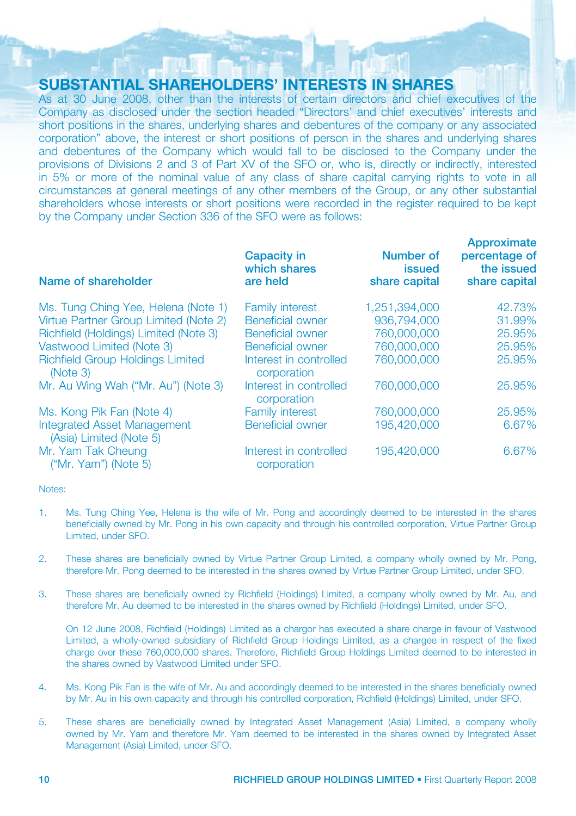## SUBSTANTIAL SHAREHOLDERS' INTERESTS IN SHARES

As at 30 June 2008, other than the interests of certain directors and chief executives of the Company as disclosed under the section headed "Directors' and chief executives' interests and short positions in the shares, underlying shares and debentures of the company or any associated corporation" above, the interest or short positions of person in the shares and underlying shares and debentures of the Company which would fall to be disclosed to the Company under the provisions of Divisions 2 and 3 of Part XV of the SFO or, who is, directly or indirectly, interested in 5% or more of the nominal value of any class of share capital carrying rights to vote in all circumstances at general meetings of any other members of the Group, or any other substantial shareholders whose interests or short positions were recorded in the register required to be kept by the Company under Section 336 of the SFO were as follows:

| Name of shareholder                                           | <b>Capacity in</b><br>which shares<br>are held | <b>Number of</b><br><b>issued</b><br>share capital | <b>APPIVATILIQUE</b><br>percentage of<br>the issued<br>share capital |
|---------------------------------------------------------------|------------------------------------------------|----------------------------------------------------|----------------------------------------------------------------------|
| Ms. Tung Ching Yee, Helena (Note 1)                           | <b>Family interest</b>                         | 1.251.394.000                                      | 42.73%                                                               |
| Virtue Partner Group Limited (Note 2)                         | <b>Beneficial owner</b>                        | 936,794,000                                        | 31.99%                                                               |
| Richfield (Holdings) Limited (Note 3)                         | <b>Beneficial owner</b>                        | 760,000,000                                        | 25.95%                                                               |
| Vastwood Limited (Note 3)                                     | Beneficial owner                               | 760,000,000                                        | 25.95%                                                               |
| <b>Richfield Group Holdings Limited</b><br>(Note 3)           | Interest in controlled<br>corporation          | 760,000,000                                        | 25.95%                                                               |
| Mr. Au Wing Wah ("Mr. Au") (Note 3)                           | Interest in controlled<br>corporation          | 760,000,000                                        | 25.95%                                                               |
| Ms. Kong Pik Fan (Note 4)                                     | <b>Family interest</b>                         | 760,000,000                                        | 25.95%                                                               |
| <b>Integrated Asset Management</b><br>(Asia) Limited (Note 5) | <b>Beneficial owner</b>                        | 195,420,000                                        | 6.67%                                                                |
| Mr. Yam Tak Cheung<br>$("Mr. Yam")$ (Note 5)                  | Interest in controlled<br>corporation          | 195,420,000                                        | 6.67%                                                                |

Notes:

- 1. Ms. Tung Ching Yee, Helena is the wife of Mr. Pong and accordingly deemed to be interested in the shares beneficially owned by Mr. Pong in his own capacity and through his controlled corporation, Virtue Partner Group Limited, under SFO.
- 2. These shares are beneficially owned by Virtue Partner Group Limited, a company wholly owned by Mr. Pong, therefore Mr. Pong deemed to be interested in the shares owned by Virtue Partner Group Limited, under SFO.
- 3. These shares are beneficially owned by Richfield (Holdings) Limited, a company wholly owned by Mr. Au, and therefore Mr. Au deemed to be interested in the shares owned by Richfield (Holdings) Limited, under SFO.

On 12 June 2008, Richfield (Holdings) Limited as a chargor has executed a share charge in favour of Vastwood Limited, a wholly-owned subsidiary of Richfield Group Holdings Limited, as a chargee in respect of the fixed charge over these 760,000,000 shares. Therefore, Richfield Group Holdings Limited deemed to be interested in the shares owned by Vastwood Limited under SFO.

- 4. Ms. Kong Pik Fan is the wife of Mr. Au and accordingly deemed to be interested in the shares beneficially owned by Mr. Au in his own capacity and through his controlled corporation, Richfield (Holdings) Limited, under SFO.
- 5. These shares are beneficially owned by Integrated Asset Management (Asia) Limited, a company wholly owned by Mr. Yam and therefore Mr. Yam deemed to be interested in the shares owned by Integrated Asset Management (Asia) Limited, under SFO.

**Annrovimate**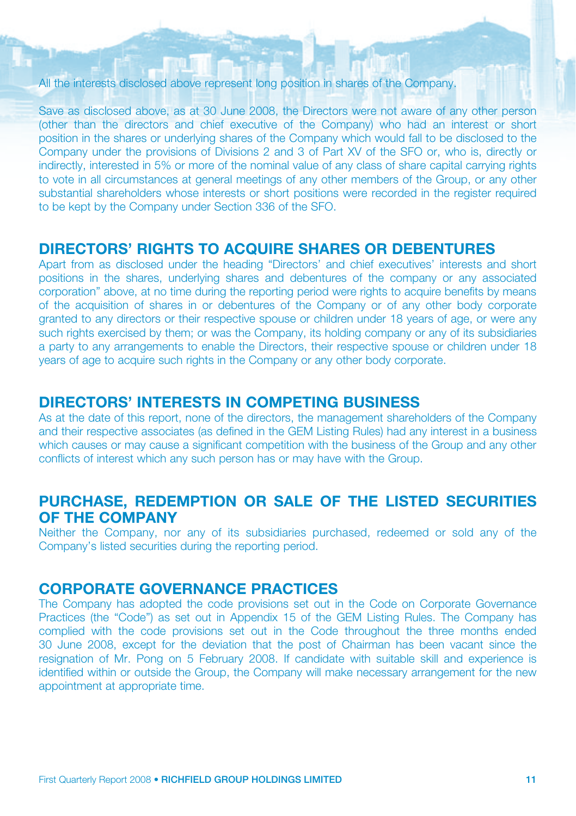All the interests disclosed above represent long position in shares of the Company.

Save as disclosed above, as at 30 June 2008, the Directors were not aware of any other person (other than the directors and chief executive of the Company) who had an interest or short position in the shares or underlying shares of the Company which would fall to be disclosed to the Company under the provisions of Divisions 2 and 3 of Part XV of the SFO or, who is, directly or indirectly, interested in 5% or more of the nominal value of any class of share capital carrying rights to vote in all circumstances at general meetings of any other members of the Group, or any other substantial shareholders whose interests or short positions were recorded in the register required to be kept by the Company under Section 336 of the SFO.

## DIRECTORS' RIGHTS TO ACQUIRE SHARES OR DEBENTURES

Apart from as disclosed under the heading "Directors' and chief executives' interests and short positions in the shares, underlying shares and debentures of the company or any associated corporation" above, at no time during the reporting period were rights to acquire benefits by means of the acquisition of shares in or debentures of the Company or of any other body corporate granted to any directors or their respective spouse or children under 18 years of age, or were any such rights exercised by them; or was the Company, its holding company or any of its subsidiaries a party to any arrangements to enable the Directors, their respective spouse or children under 18 years of age to acquire such rights in the Company or any other body corporate.

## DIRECTORS' INTERESTS IN COMPETING BUSINESS

As at the date of this report, none of the directors, the management shareholders of the Company and their respective associates (as defined in the GEM Listing Rules) had any interest in a business which causes or may cause a significant competition with the business of the Group and any other conflicts of interest which any such person has or may have with the Group.

## PURCHASE, REDEMPTION OR SALE OF THE LISTED SECURITIES OF THE COMPANY

Neither the Company, nor any of its subsidiaries purchased, redeemed or sold any of the Company's listed securities during the reporting period.

#### CORPORATE GOVERNANCE PRACTICES

The Company has adopted the code provisions set out in the Code on Corporate Governance Practices (the "Code") as set out in Appendix 15 of the GEM Listing Rules. The Company has complied with the code provisions set out in the Code throughout the three months ended 30 June 2008, except for the deviation that the post of Chairman has been vacant since the resignation of Mr. Pong on 5 February 2008. If candidate with suitable skill and experience is identified within or outside the Group, the Company will make necessary arrangement for the new appointment at appropriate time.